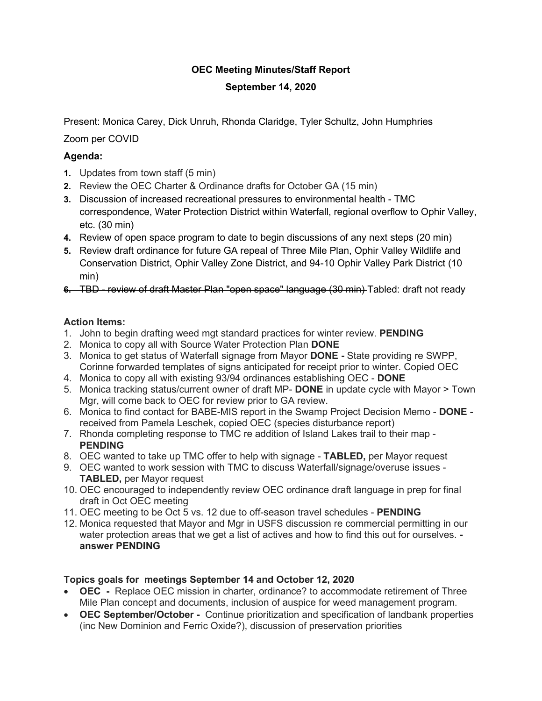# **OEC Meeting Minutes/Staff Report**

# **September 14, 2020**

Present: Monica Carey, Dick Unruh, Rhonda Claridge, Tyler Schultz, John Humphries

# Zoom per COVID

# **Agenda:**

- **1.** Updates from town staff (5 min)
- **2.** Review the OEC Charter & Ordinance drafts for October GA (15 min)
- **3.** Discussion of increased recreational pressures to environmental health TMC correspondence, Water Protection District within Waterfall, regional overflow to Ophir Valley, etc. (30 min)
- **4.** Review of open space program to date to begin discussions of any next steps (20 min)
- **5.** Review draft ordinance for future GA repeal of Three Mile Plan, Ophir Valley Wildlife and Conservation District, Ophir Valley Zone District, and 94-10 Ophir Valley Park District (10 min)
- **6.** TBD review of draft Master Plan "open space" language (30 min) Tabled: draft not ready

# **Action Items:**

- 1. John to begin drafting weed mgt standard practices for winter review. **PENDING**
- 2. Monica to copy all with Source Water Protection Plan **DONE**
- 3. Monica to get status of Waterfall signage from Mayor **DONE -** State providing re SWPP, Corinne forwarded templates of signs anticipated for receipt prior to winter. Copied OEC
- 4. Monica to copy all with existing 93/94 ordinances establishing OEC **DONE**
- 5. Monica tracking status/current owner of draft MP- **DONE** in update cycle with Mayor > Town Mgr, will come back to OEC for review prior to GA review.
- 6. Monica to find contact for BABE-MIS report in the Swamp Project Decision Memo **DONE**  received from Pamela Leschek, copied OEC (species disturbance report)
- 7. Rhonda completing response to TMC re addition of Island Lakes trail to their map **PENDING**
- 8. OEC wanted to take up TMC offer to help with signage **TABLED,** per Mayor request
- 9. OEC wanted to work session with TMC to discuss Waterfall/signage/overuse issues **TABLED,** per Mayor request
- 10. OEC encouraged to independently review OEC ordinance draft language in prep for final draft in Oct OEC meeting
- 11. OEC meeting to be Oct 5 vs. 12 due to off-season travel schedules **PENDING**
- 12. Monica requested that Mayor and Mgr in USFS discussion re commercial permitting in our water protection areas that we get a list of actives and how to find this out for ourselves.  **answer PENDING**

### **Topics goals for meetings September 14 and October 12, 2020**

- **OEC** Replace OEC mission in charter, ordinance? to accommodate retirement of Three Mile Plan concept and documents, inclusion of auspice for weed management program.
- **OEC September/October** Continue prioritization and specification of landbank properties (inc New Dominion and Ferric Oxide?), discussion of preservation priorities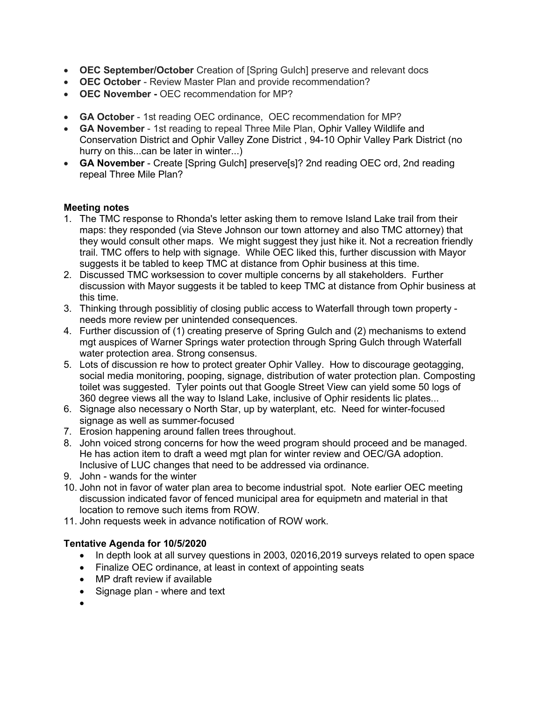- **OEC September/October** Creation of [Spring Gulch] preserve and relevant docs
- **OEC October** Review Master Plan and provide recommendation?
- **OEC November -** OEC recommendation for MP?
- **GA October** 1st reading OEC ordinance, OEC recommendation for MP?
- **GA November** 1st reading to repeal Three Mile Plan, Ophir Valley Wildlife and Conservation District and Ophir Valley Zone District , 94-10 Ophir Valley Park District (no hurry on this...can be later in winter...)
- **GA November** Create [Spring Gulch] preserve[s]? 2nd reading OEC ord, 2nd reading repeal Three Mile Plan?

#### **Meeting notes**

- 1. The TMC response to Rhonda's letter asking them to remove Island Lake trail from their maps: they responded (via Steve Johnson our town attorney and also TMC attorney) that they would consult other maps. We might suggest they just hike it. Not a recreation friendly trail. TMC offers to help with signage. While OEC liked this, further discussion with Mayor suggests it be tabled to keep TMC at distance from Ophir business at this time.
- 2. Discussed TMC worksession to cover multiple concerns by all stakeholders. Further discussion with Mayor suggests it be tabled to keep TMC at distance from Ophir business at this time.
- 3. Thinking through possiblitiy of closing public access to Waterfall through town property needs more review per unintended consequences.
- 4. Further discussion of (1) creating preserve of Spring Gulch and (2) mechanisms to extend mgt auspices of Warner Springs water protection through Spring Gulch through Waterfall water protection area. Strong consensus.
- 5. Lots of discussion re how to protect greater Ophir Valley. How to discourage geotagging, social media monitoring, pooping, signage, distribution of water protection plan. Composting toilet was suggested. Tyler points out that Google Street View can yield some 50 logs of 360 degree views all the way to Island Lake, inclusive of Ophir residents lic plates...
- 6. Signage also necessary o North Star, up by waterplant, etc. Need for winter-focused signage as well as summer-focused
- 7. Erosion happening around fallen trees throughout.
- 8. John voiced strong concerns for how the weed program should proceed and be managed. He has action item to draft a weed mgt plan for winter review and OEC/GA adoption. Inclusive of LUC changes that need to be addressed via ordinance.
- 9. John wands for the winter
- 10. John not in favor of water plan area to become industrial spot. Note earlier OEC meeting discussion indicated favor of fenced municipal area for equipmetn and material in that location to remove such items from ROW.
- 11. John requests week in advance notification of ROW work.

### **Tentative Agenda for 10/5/2020**

- In depth look at all survey questions in 2003, 02016, 2019 surveys related to open space
- Finalize OEC ordinance, at least in context of appointing seats
- MP draft review if available
- Signage plan where and text
- •